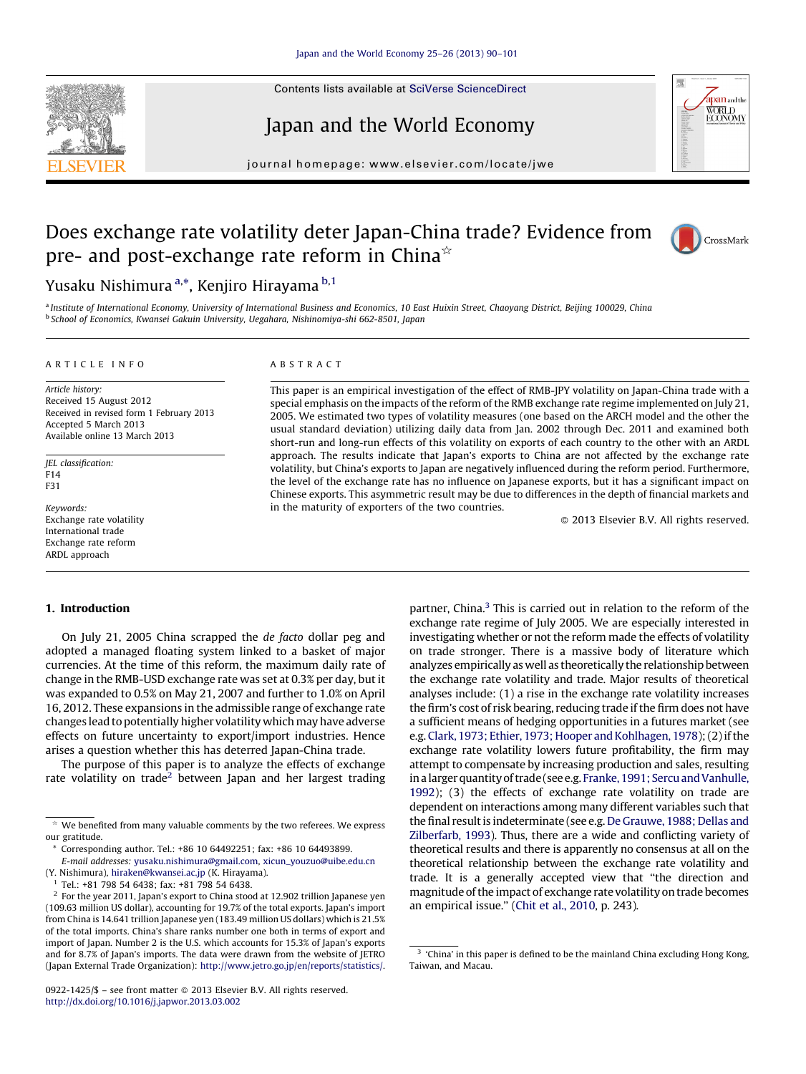Contents lists available at SciVerse [ScienceDirect](http://www.sciencedirect.com/science/journal/09221425)





## Japan and the World Economy

journal homepage: www.elsevier.com/locate/jwe

# Does exchange rate volatility deter Japan-China trade? Evidence from pre- and post-exchange rate reform in China $\dot{\alpha}$



### Yusaku Nishimura <sup>a,</sup>\*, Kenjiro Hirayama <sup>b,1</sup>

a Institute of International Economy, University of International Business and Economics, 10 East Huixin Street, Chaoyang District, Beijing 100029, China <sup>b</sup> School of Economics, Kwansei Gakuin University, Uegahara, Nishinomiya-shi 662-8501, Japan

#### A R T I C L E I N F O

Article history: Received 15 August 2012 Received in revised form 1 February 2013 Accepted 5 March 2013 Available online 13 March 2013

JEL classification: F14 F31

Keywords: Exchange rate volatility International trade Exchange rate reform ARDL approach

#### A B S T R A C T

This paper is an empirical investigation of the effect of RMB-JPY volatility on Japan-China trade with a special emphasis on the impacts of the reform of the RMB exchange rate regime implemented on July 21, 2005. We estimated two types of volatility measures (one based on the ARCH model and the other the usual standard deviation) utilizing daily data from Jan. 2002 through Dec. 2011 and examined both short-run and long-run effects of this volatility on exports of each country to the other with an ARDL approach. The results indicate that Japan's exports to China are not affected by the exchange rate volatility, but China's exports to Japan are negatively influenced during the reform period. Furthermore, the level of the exchange rate has no influence on Japanese exports, but it has a significant impact on Chinese exports. This asymmetric result may be due to differences in the depth of financial markets and in the maturity of exporters of the two countries.

- 2013 Elsevier B.V. All rights reserved.

#### 1. Introduction

On July 21, 2005 China scrapped the de facto dollar peg and adopted a managed floating system linked to a basket of major currencies. At the time of this reform, the maximum daily rate of change in the RMB-USD exchange rate was set at 0.3% per day, but it was expanded to 0.5% on May 21, 2007 and further to 1.0% on April 16, 2012. These expansions in the admissible range of exchange rate changes lead to potentially higher volatility which may have adverse effects on future uncertainty to export/import industries. Hence arises a question whether this has deterred Japan-China trade.

The purpose of this paper is to analyze the effects of exchange rate volatility on trade<sup>2</sup> between Japan and her largest trading

Corresponding author. Tel.: +86 10 64492251; fax: +86 10 64493899.

0922-1425/\$ – see front matter © 2013 Elsevier B.V. All rights reserved. <http://dx.doi.org/10.1016/j.japwor.2013.03.002>

partner, China.<sup>3</sup> This is carried out in relation to the reform of the exchange rate regime of July 2005. We are especially interested in investigating whether or not the reform made the effects of volatility on trade stronger. There is a massive body of literature which analyzes empirically as well as theoretically the relationship between the exchange rate volatility and trade. Major results of theoretical analyses include: (1) a rise in the exchange rate volatility increases the firm's cost of risk bearing, reducing trade if the firm does not have a sufficient means of hedging opportunities in a futures market (see e.g. Clark, 1973; Ethier, 1973; Hooper and Kohlhagen, 1978); (2) if the exchange rate volatility lowers future profitability, the firm may attempt to compensate by increasing production and sales, resulting in a larger quantity of trade (see e.g. Franke, 1991; Sercu and Vanhulle, [1992\)](#page--1-0); (3) the effects of exchange rate volatility on trade are dependent on interactions among many different variables such that the final result is indeterminate (see e.g. De [Grauwe,](#page--1-0) 1988; Dellas and [Zilberfarb,](#page--1-0) 1993). Thus, there are a wide and conflicting variety of theoretical results and there is apparently no consensus at all on the theoretical relationship between the exchange rate volatility and trade. It is a generally accepted view that ''the direction and magnitude of the impact of exchange rate volatility on trade becomes an empirical issue.'' (Chit et al., [2010,](#page--1-0) p. 243).

 $\mathrm{\star}\,$  We benefited from many valuable comments by the two referees. We express our gratitude.

E-mail addresses: [yusaku.nishimura@gmail.com,](mailto:yusaku.nishimura@gmail.com) [xicun\\_youzuo@uibe.edu.cn](mailto:xicun_youzuo@uibe.edu.cn) (Y. Nishimura), [hiraken@kwansei.ac.jp](mailto:hiraken@kwansei.ac.jp) (K. Hirayama).

<sup>&</sup>lt;sup>1</sup> Tel.: +81 798 54 6438; fax: +81 798 54 6438.

 $2$  For the year 2011, Japan's export to China stood at 12.902 trillion Japanese yen (109.63 million US dollar), accounting for 19.7% of the total exports. Japan's import from China is 14.641 trillion Japanese yen (183.49 million US dollars) which is 21.5% of the total imports. China's share ranks number one both in terms of export and import of Japan. Number 2 is the U.S. which accounts for 15.3% of Japan's exports and for 8.7% of Japan's imports. The data were drawn from the website of JETRO (Japan External Trade Organization): <http://www.jetro.go.jp/en/reports/statistics/>.

<sup>&</sup>lt;sup>3</sup> 'China' in this paper is defined to be the mainland China excluding Hong Kong, Taiwan, and Macau.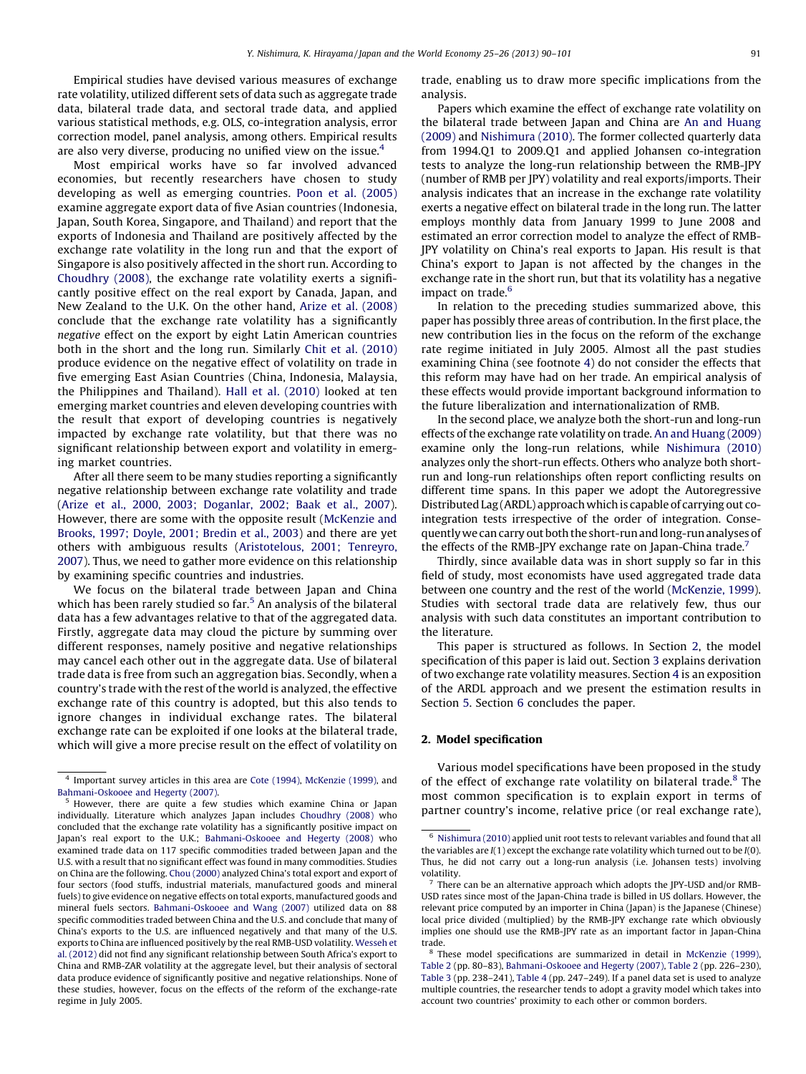Empirical studies have devised various measures of exchange rate volatility, utilized different sets of data such as aggregate trade data, bilateral trade data, and sectoral trade data, and applied various statistical methods, e.g. OLS, co-integration analysis, error correction model, panel analysis, among others. Empirical results are also very diverse, producing no unified view on the issue.<sup>4</sup>

Most empirical works have so far involved advanced economies, but recently researchers have chosen to study developing as well as emerging countries. Poon et al. [\(2005\)](#page--1-0) examine aggregate export data of five Asian countries (Indonesia, Japan, South Korea, Singapore, and Thailand) and report that the exports of Indonesia and Thailand are positively affected by the exchange rate volatility in the long run and that the export of Singapore is also positively affected in the short run. According to [Choudhry](#page--1-0) (2008), the exchange rate volatility exerts a significantly positive effect on the real export by Canada, Japan, and New Zealand to the U.K. On the other hand, Arize et al. [\(2008\)](#page--1-0) conclude that the exchange rate volatility has a significantly negative effect on the export by eight Latin American countries both in the short and the long run. Similarly Chit et al. [\(2010\)](#page--1-0) produce evidence on the negative effect of volatility on trade in five emerging East Asian Countries (China, Indonesia, Malaysia, the Philippines and Thailand). Hall et al. [\(2010\)](#page--1-0) looked at ten emerging market countries and eleven developing countries with the result that export of developing countries is negatively impacted by exchange rate volatility, but that there was no significant relationship between export and volatility in emerging market countries.

After all there seem to be many studies reporting a significantly negative relationship between exchange rate volatility and trade (Arize et al., 2000, 2003; [Doganlar,](#page--1-0) 2002; Baak et al., 2007). However, there are some with the opposite result [\(McKenzie](#page--1-0) and [Brooks,](#page--1-0) 1997; Doyle, 2001; Bredin et al., 2003) and there are yet others with ambiguous results ([Aristotelous,](#page--1-0) 2001; Tenreyro, [2007\)](#page--1-0). Thus, we need to gather more evidence on this relationship by examining specific countries and industries.

We focus on the bilateral trade between Japan and China which has been rarely studied so far.<sup>5</sup> An analysis of the bilateral data has a few advantages relative to that of the aggregated data. Firstly, aggregate data may cloud the picture by summing over different responses, namely positive and negative relationships may cancel each other out in the aggregate data. Use of bilateral trade data is free from such an aggregation bias. Secondly, when a country's trade with the rest of the world is analyzed, the effective exchange rate of this country is adopted, but this also tends to ignore changes in individual exchange rates. The bilateral exchange rate can be exploited if one looks at the bilateral trade, which will give a more precise result on the effect of volatility on trade, enabling us to draw more specific implications from the analysis.

Papers which examine the effect of exchange rate volatility on the bilateral trade between Japan and China are An and [Huang](#page--1-0) [\(2009\)](#page--1-0) and [Nishimura](#page--1-0) (2010). The former collected quarterly data from 1994.Q1 to 2009.Q1 and applied Johansen co-integration tests to analyze the long-run relationship between the RMB-JPY (number of RMB per JPY) volatility and real exports/imports. Their analysis indicates that an increase in the exchange rate volatility exerts a negative effect on bilateral trade in the long run. The latter employs monthly data from January 1999 to June 2008 and estimated an error correction model to analyze the effect of RMB-JPY volatility on China's real exports to Japan. His result is that China's export to Japan is not affected by the changes in the exchange rate in the short run, but that its volatility has a negative impact on trade.<sup>6</sup>

In relation to the preceding studies summarized above, this paper has possibly three areas of contribution. In the first place, the new contribution lies in the focus on the reform of the exchange rate regime initiated in July 2005. Almost all the past studies examining China (see footnote 4) do not consider the effects that this reform may have had on her trade. An empirical analysis of these effects would provide important background information to the future liberalization and internationalization of RMB.

In the second place, we analyze both the short-run and long-run effects of the exchange rate volatility on trade. An and Huang [\(2009\)](#page--1-0) examine only the long-run relations, while [Nishimura](#page--1-0) (2010) analyzes only the short-run effects. Others who analyze both shortrun and long-run relationships often report conflicting results on different time spans. In this paper we adopt the Autoregressive DistributedLag (ARDL) approach which is capable of carrying out cointegration tests irrespective of the order of integration. Consequently we can carry out both the short-run and long-run analyses of the effects of the RMB-JPY exchange rate on Japan-China trade.<sup>7</sup>

Thirdly, since available data was in short supply so far in this field of study, most economists have used aggregated trade data between one country and the rest of the world ([McKenzie,](#page--1-0) 1999). Studies with sectoral trade data are relatively few, thus our analysis with such data constitutes an important contribution to the literature.

This paper is structured as follows. In Section 2, the model specification of this paper is laid out. Section [3](#page--1-0) explains derivation of two exchange rate volatility measures. Section [4](#page--1-0) is an exposition of the ARDL approach and we present the estimation results in Section [5.](#page--1-0) Section [6](#page--1-0) concludes the paper.

#### 2. Model specification

Various model specifications have been proposed in the study of the effect of exchange rate volatility on bilateral trade.<sup>8</sup> The most common specification is to explain export in terms of partner country's income, relative price (or real exchange rate),

<sup>4</sup> Important survey articles in this area are Cote [\(1994\),](#page--1-0) [McKenzie](#page--1-0) (1999), and [Bahmani-Oskooee](#page--1-0) and Hegerty (2007).

<sup>5</sup> However, there are quite a few studies which examine China or Japan individually. Literature which analyzes Japan includes [Choudhry](#page--1-0) (2008) who concluded that the exchange rate volatility has a significantly positive impact on Japan's real export to the U.K.; [Bahmani-Oskooee](#page--1-0) and Hegerty (2008) who examined trade data on 117 specific commodities traded between Japan and the U.S. with a result that no significant effect was found in many commodities. Studies on China are the following. Chou [\(2000\)](#page--1-0) analyzed China's total export and export of four sectors (food stuffs, industrial materials, manufactured goods and mineral fuels) to give evidence on negative effects on total exports, manufactured goods and mineral fuels sectors. [Bahmani-Oskooee](#page--1-0) and Wang (2007) utilized data on 88 specific commodities traded between China and the U.S. and conclude that many of China's exports to the U.S. are influenced negatively and that many of the U.S. exports to China are influenced positively by the real RMB-USD volatility. [Wesseh](#page--1-0) et al. [\(2012\)](#page--1-0) did not find any significant relationship between South Africa's export to China and RMB-ZAR volatility at the aggregate level, but their analysis of sectoral data produce evidence of significantly positive and negative relationships. None of these studies, however, focus on the effects of the reform of the exchange-rate regime in July 2005.

<sup>6</sup> [Nishimura](#page--1-0) (2010) applied unit root tests to relevant variables and found that all the variables are  $I(1)$  except the exchange rate volatility which turned out to be  $I(0)$ . Thus, he did not carry out a long-run analysis (i.e. Johansen tests) involving volatility.

 $7$  There can be an alternative approach which adopts the JPY-USD and/or RMB-USD rates since most of the Japan-China trade is billed in US dollars. However, the relevant price computed by an importer in China (Japan) is the Japanese (Chinese) local price divided (multiplied) by the RMB-JPY exchange rate which obviously implies one should use the RMB-JPY rate as an important factor in Japan-China trade.

<sup>8</sup> These model specifications are summarized in detail in [McKenzie](#page--1-0) (1999), [Table](#page--1-0) 2 (pp. 80–83), [Bahmani-Oskooee](#page--1-0) and Hegerty (2007), [Table](#page--1-0) 2 (pp. 226–230), [Table](#page--1-0) 3 (pp. 238–241), [Table](#page--1-0) 4 (pp. 247–249). If a panel data set is used to analyze multiple countries, the researcher tends to adopt a gravity model which takes into account two countries' proximity to each other or common borders.